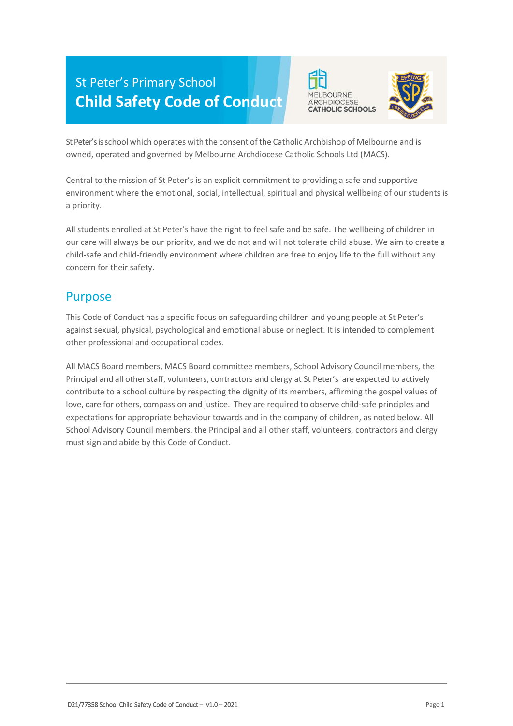# St Peter's Primary School **Child Safety Code of Conduct**





St Peter's is school which operates with the consent of the Catholic Archbishop of Melbourne and is owned, operated and governed by Melbourne Archdiocese Catholic Schools Ltd (MACS).

Central to the mission of St Peter's is an explicit commitment to providing a safe and supportive environment where the emotional, social, intellectual, spiritual and physical wellbeing of our students is a priority.

All students enrolled at St Peter's have the right to feel safe and be safe. The wellbeing of children in our care will always be our priority, and we do not and will not tolerate child abuse. We aim to create a child-safe and child-friendly environment where children are free to enjoy life to the full without any concern for their safety.

#### Purpose

This Code of Conduct has a specific focus on safeguarding children and young people at St Peter's against sexual, physical, psychological and emotional abuse or neglect. It is intended to complement other professional and occupational codes.

All MACS Board members, MACS Board committee members, School Advisory Council members, the Principal and all other staff, volunteers, contractors and clergy at St Peter's are expected to actively contribute to a school culture by respecting the dignity of its members, affirming the gospel values of love, care for others, compassion and justice. They are required to observe child-safe principles and expectations for appropriate behaviour towards and in the company of children, as noted below. All School Advisory Council members, the Principal and all other staff, volunteers, contractors and clergy must sign and abide by this Code of Conduct.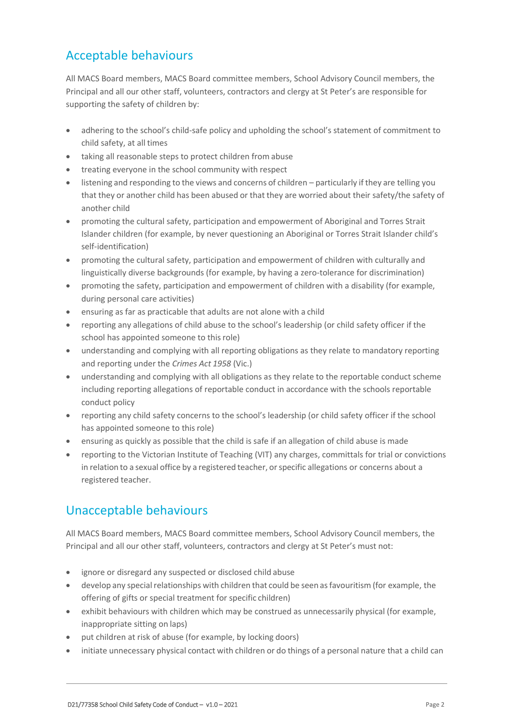## Acceptable behaviours

All MACS Board members, MACS Board committee members, School Advisory Council members, the Principal and all our other staff, volunteers, contractors and clergy at St Peter's are responsible for supporting the safety of children by:

- adhering to the school's child-safe policy and upholding the school's statement of commitment to child safety, at all times
- taking all reasonable steps to protect children from abuse
- treating everyone in the school community with respect
- listening and responding to the views and concerns of children particularly if they are telling you that they or another child has been abused or that they are worried about their safety/the safety of another child
- promoting the cultural safety, participation and empowerment of Aboriginal and Torres Strait Islander children (for example, by never questioning an Aboriginal or Torres Strait Islander child's self-identification)
- promoting the cultural safety, participation and empowerment of children with culturally and linguistically diverse backgrounds (for example, by having a zero-tolerance for discrimination)
- promoting the safety, participation and empowerment of children with a disability (for example, during personal care activities)
- ensuring as far as practicable that adults are not alone with a child
- reporting any allegations of child abuse to the school's leadership (or child safety officer if the school has appointed someone to this role)
- understanding and complying with all reporting obligations as they relate to mandatory reporting and reporting under the *Crimes Act 1958* (Vic.)
- understanding and complying with all obligations as they relate to the reportable conduct scheme including reporting allegations of reportable conduct in accordance with the schools reportable conduct policy
- reporting any child safety concerns to the school's leadership (or child safety officer if the school has appointed someone to this role)
- ensuring as quickly as possible that the child is safe if an allegation of child abuse is made
- reporting to the Victorian Institute of Teaching (VIT) any charges, committals for trial or convictions in relation to a sexual office by a registered teacher, orspecific allegations or concerns about a registered teacher.

### Unacceptable behaviours

All MACS Board members, MACS Board committee members, School Advisory Council members, the Principal and all our other staff, volunteers, contractors and clergy at St Peter's must not:

- ignore or disregard any suspected or disclosed child abuse
- develop any special relationships with children that could be seen as favouritism (for example, the offering of gifts or special treatment for specific children)
- exhibit behaviours with children which may be construed as unnecessarily physical (for example, inappropriate sitting on laps)
- put children at risk of abuse (for example, by locking doors)
- initiate unnecessary physical contact with children or do things of a personal nature that a child can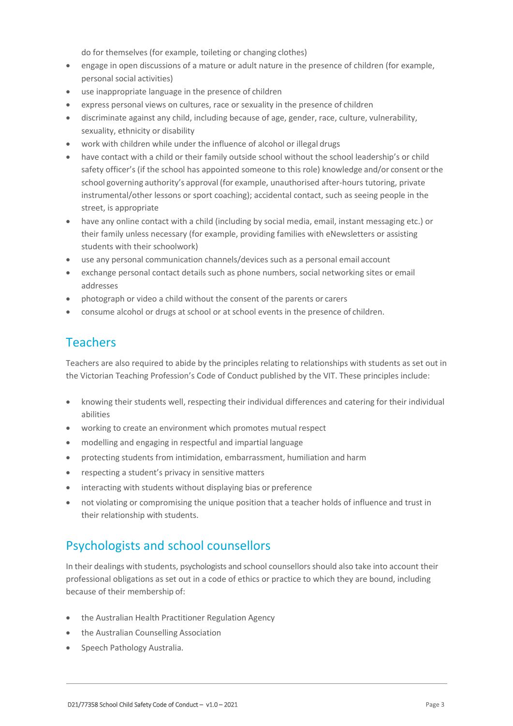do for themselves (for example, toileting or changing clothes)

- engage in open discussions of a mature or adult nature in the presence of children (for example, personal social activities)
- use inappropriate language in the presence of children
- express personal views on cultures, race or sexuality in the presence of children
- discriminate against any child, including because of age, gender, race, culture, vulnerability, sexuality, ethnicity or disability
- work with children while under the influence of alcohol or illegal drugs
- have contact with a child or their family outside school without the school leadership's or child safety officer's (if the school has appointed someone to this role) knowledge and/or consent orthe school governing authority's approval (for example, unauthorised after-hours tutoring, private instrumental/other lessons or sport coaching); accidental contact, such as seeing people in the street, is appropriate
- have any online contact with a child (including by social media, email, instant messaging etc.) or their family unless necessary (for example, providing families with eNewsletters or assisting students with their schoolwork)
- use any personal communication channels/devices such as a personal email account
- exchange personal contact details such as phone numbers, social networking sites or email addresses
- photograph or video a child without the consent of the parents or carers
- consume alcohol or drugs at school or at school events in the presence of children.

#### **Teachers**

Teachers are also required to abide by the principles relating to relationships with students as set out in the Victorian Teaching Profession's Code of Conduct published by the VIT. These principles include:

- knowing their students well, respecting their individual differences and catering for their individual abilities
- working to create an environment which promotes mutual respect
- modelling and engaging in respectful and impartial language
- protecting students from intimidation, embarrassment, humiliation and harm
- respecting a student's privacy in sensitive matters
- interacting with students without displaying bias or preference
- not violating or compromising the unique position that a teacher holds of influence and trust in their relationship with students.

#### Psychologists and school counsellors

In their dealings with students, psychologists and school counsellorsshould also take into account their professional obligations as set out in a code of ethics or practice to which they are bound, including because of their membership of:

- the Australian Health Practitioner Regulation Agency
- the Australian Counselling Association
- Speech Pathology Australia.